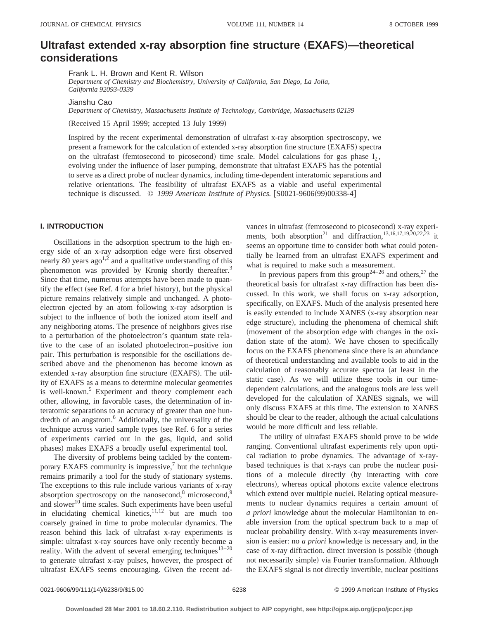# **Ultrafast extended x-ray absorption fine structure** "**EXAFS**…**—theoretical considerations**

Frank L. H. Brown and Kent R. Wilson

*Department of Chemistry and Biochemistry, University of California, San Diego, La Jolla, California 92093-0339*

Jianshu Cao

*Department of Chemistry, Massachusetts Institute of Technology, Cambridge, Massachusetts 02139*

(Received 15 April 1999; accepted 13 July 1999)

Inspired by the recent experimental demonstration of ultrafast x-ray absorption spectroscopy, we present a framework for the calculation of extended x-ray absorption fine structure (EXAFS) spectra on the ultrafast (femtosecond to picosecond) time scale. Model calculations for gas phase  $I_2$ , evolving under the influence of laser pumping, demonstrate that ultrafast EXAFS has the potential to serve as a direct probe of nuclear dynamics, including time-dependent interatomic separations and relative orientations. The feasibility of ultrafast EXAFS as a viable and useful experimental technique is discussed. © 1999 American Institute of Physics. [S0021-9606(99)00338-4]

## **I. INTRODUCTION**

Oscillations in the adsorption spectrum to the high energy side of an x-ray adsorption edge were first observed nearly 80 years  $ago^{1,2}$  and a qualitative understanding of this phenomenon was provided by Kronig shortly thereafter.<sup>3</sup> Since that time, numerous attempts have been made to quantify the effect (see Ref. 4 for a brief history), but the physical picture remains relatively simple and unchanged. A photoelectron ejected by an atom following x-ray adsorption is subject to the influence of both the ionized atom itself and any neighboring atoms. The presence of neighbors gives rise to a perturbation of the photoelectron's quantum state relative to the case of an isolated photoelectron–positive ion pair. This perturbation is responsible for the oscillations described above and the phenomenon has become known as extended x-ray absorption fine structure (EXAFS). The utility of EXAFS as a means to determine molecular geometries is well-known.<sup>5</sup> Experiment and theory complement each other, allowing, in favorable cases, the determination of interatomic separations to an accuracy of greater than one hundredth of an angstrom.<sup>6</sup> Additionally, the universality of the technique across varied sample types (see Ref. 6 for a series of experiments carried out in the gas, liquid, and solid phases) makes EXAFS a broadly useful experimental tool.

The diversity of problems being tackled by the contemporary EXAFS community is impressive, $\frac{7}{1}$  but the technique remains primarily a tool for the study of stationary systems. The exceptions to this rule include various variants of x-ray absorption spectroscopy on the nanosecond,<sup>8</sup> microsecond,<sup>9</sup> and slower<sup>10</sup> time scales. Such experiments have been useful in elucidating chemical kinetics, $11,12$  but are much too coarsely grained in time to probe molecular dynamics. The reason behind this lack of ultrafast x-ray experiments is simple: ultrafast x-ray sources have only recently become a reality. With the advent of several emerging techniques<sup>13-20</sup> to generate ultrafast x-ray pulses, however, the prospect of ultrafast EXAFS seems encouraging. Given the recent advances in ultrafast (femtosecond to picosecond) x-ray experiments, both absorption<sup>21</sup> and diffraction,<sup>13,16,17,19,20,22,23</sup> it seems an opportune time to consider both what could potentially be learned from an ultrafast EXAFS experiment and what is required to make such a measurement.

In previous papers from this group<sup>24–26</sup> and others,<sup>27</sup> the theoretical basis for ultrafast x-ray diffraction has been discussed. In this work, we shall focus on x-ray adsorption, specifically, on EXAFS. Much of the analysis presented here is easily extended to include XANES (x-ray absorption near edge structure), including the phenomena of chemical shift (movement of the absorption edge with changes in the oxidation state of the atom). We have chosen to specifically focus on the EXAFS phenomena since there is an abundance of theoretical understanding and available tools to aid in the calculation of reasonably accurate spectra (at least in the static case). As we will utilize these tools in our timedependent calculations, and the analogous tools are less well developed for the calculation of XANES signals, we will only discuss EXAFS at this time. The extension to XANES should be clear to the reader, although the actual calculations would be more difficult and less reliable.

The utility of ultrafast EXAFS should prove to be wide ranging. Conventional ultrafast experiments rely upon optical radiation to probe dynamics. The advantage of x-raybased techniques is that x-rays can probe the nuclear positions of a molecule directly (by interacting with core electrons), whereas optical photons excite valence electrons which extend over multiple nuclei. Relating optical measurements to nuclear dynamics requires a certain amount of *a priori* knowledge about the molecular Hamiltonian to enable inversion from the optical spectrum back to a map of nuclear probability density. With x-ray measurements inversion is easier: no *a priori* knowledge is necessary and, in the case of x-ray diffraction. direct inversion is possible (though not necessarily simple) via Fourier transformation. Although the EXAFS signal is not directly invertible, nuclear positions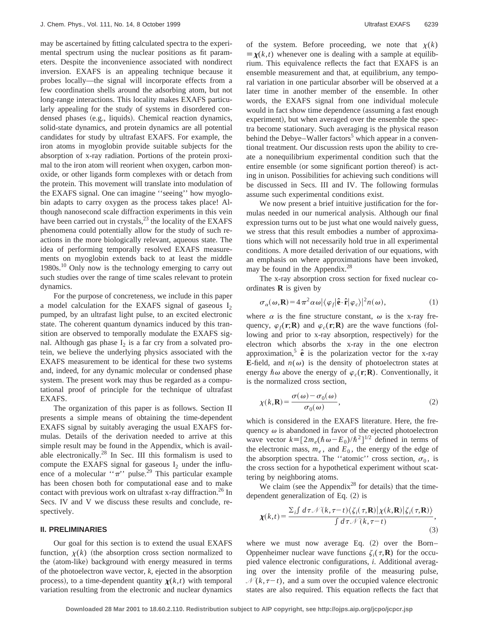may be ascertained by fitting calculated spectra to the experimental spectrum using the nuclear positions as fit parameters. Despite the inconvenience associated with nondirect inversion. EXAFS is an appealing technique because it probes locally—the signal will incorporate effects from a few coordination shells around the adsorbing atom, but not long-range interactions. This locality makes EXAFS particularly appealing for the study of systems in disordered condensed phases (e.g., liquids). Chemical reaction dynamics, solid-state dynamics, and protein dynamics are all potential candidates for study by ultrafast EXAFS. For example, the iron atoms in myoglobin provide suitable subjects for the absorption of x-ray radiation. Portions of the protein proximal to the iron atom will reorient when oxygen, carbon monoxide, or other ligands form complexes with or detach from the protein. This movement will translate into modulation of the EXAFS signal. One can imagine ''seeing'' how myoglobin adapts to carry oxygen as the process takes place! Although nanosecond scale diffraction experiments in this vein have been carried out in crystals, $^{23}$  the locality of the EXAFS phenomena could potentially allow for the study of such reactions in the more biologically relevant, aqueous state. The idea of performing temporally resolved EXAFS measurements on myoglobin extends back to at least the middle 1980s.<sup>10</sup> Only now is the technology emerging to carry out such studies over the range of time scales relevant to protein dynamics.

For the purpose of concreteness, we include in this paper a model calculation for the EXAFS signal of gaseous  $I_2$ pumped, by an ultrafast light pulse, to an excited electronic state. The coherent quantum dynamics induced by this transition are observed to temporally modulate the EXAFS signal. Although gas phase  $I_2$  is a far cry from a solvated protein, we believe the underlying physics associated with the EXAFS measurement to be identical for these two systems and, indeed, for any dynamic molecular or condensed phase system. The present work may thus be regarded as a computational proof of principle for the technique of ultrafast EXAFS.

The organization of this paper is as follows. Section II presents a simple means of obtaining the time-dependent EXAFS signal by suitably averaging the usual EXAFS formulas. Details of the derivation needed to arrive at this simple result may be found in the Appendix, which is available electronically. $^{28}$  In Sec. III this formalism is used to compute the EXAFS signal for gaseous  $I_2$  under the influence of a molecular " $\pi$ " pulse.<sup>29</sup> This particular example has been chosen both for computational ease and to make contact with previous work on ultrafast x-ray diffraction.<sup>26</sup> In Secs. IV and V we discuss these results and conclude, respectively.

#### **II. PRELIMINARIES**

Our goal for this section is to extend the usual EXAFS function,  $\chi(k)$  (the absorption cross section normalized to the (atom-like) background with energy measured in terms of the photoelectron wave vector, *k*, ejected in the absorption process), to a time-dependent quantity  $\chi(k,t)$  with temporal variation resulting from the electronic and nuclear dynamics of the system. Before proceeding, we note that  $\chi(k)$  $\equiv \chi(k,t)$  whenever one is dealing with a sample at equilibrium. This equivalence reflects the fact that EXAFS is an ensemble measurement and that, at equilibrium, any temporal variation in one particular absorber will be observed at a later time in another member of the ensemble. In other words, the EXAFS signal from one individual molecule would in fact show time dependence (assuming a fast enough experiment), but when averaged over the ensemble the spectra become stationary. Such averaging is the physical reason behind the Debye–Waller factors<sup>5</sup> which appear in a conventional treatment. Our discussion rests upon the ability to create a nonequilibrium experimental condition such that the entire ensemble (or some significant portion thereof) is acting in unison. Possibilities for achieving such conditions will be discussed in Secs. III and IV. The following formulas assume such experimental conditions exist.

We now present a brief intuitive justification for the formulas needed in our numerical analysis. Although our final expression turns out to be just what one would naively guess, we stress that this result embodies a number of approximations which will not necessarily hold true in all experimental conditions. A more detailed derivation of our equations, with an emphasis on where approximations have been invoked, may be found in the Appendix.<sup>28</sup>

The x-ray absorption cross section for fixed nuclear coordinates **R** is given by

$$
\sigma_{\alpha}(\omega, \mathbf{R}) = 4 \pi^2 \alpha \omega |\langle \varphi_f | \hat{\mathbf{e}} \cdot \hat{\mathbf{r}} | \varphi_c \rangle|^2 n(\omega), \tag{1}
$$

where  $\alpha$  is the fine structure constant,  $\omega$  is the x-ray frequency,  $\varphi_f(\mathbf{r}; \mathbf{R})$  and  $\varphi_c(\mathbf{r}; \mathbf{R})$  are the wave functions (following and prior to x-ray absorption, respectively) for the electron which absorbs the x-ray in the one electron approximation,<sup>5</sup>  $\hat{\mathbf{e}}$  is the polarization vector for the x-ray **E**-field, and  $n(\omega)$  is the density of photoelectron states at energy  $\hbar \omega$  above the energy of  $\varphi_c(\mathbf{r};\mathbf{R})$ . Conventionally, it is the normalized cross section,

$$
\chi(k, \mathbf{R}) = \frac{\sigma(\omega) - \sigma_0(\omega)}{\sigma_0(\omega)},
$$
\n(2)

which is considered in the EXAFS literature. Here, the frequency  $\omega$  is abandoned in favor of the ejected photoelectron wave vector  $k = [2m_e(\hbar \omega - E_0)/\hbar^2]^{1/2}$  defined in terms of the electronic mass,  $m_e$ , and  $E_0$ , the energy of the edge of the absorption spectra. The "atomic" cross section,  $\sigma_0$ , is the cross section for a hypothetical experiment without scattering by neighboring atoms.

We claim (see the Appendix<sup>28</sup> for details) that the timedependent generalization of Eq.  $(2)$  is

$$
\chi(k,t) = \frac{\sum_{i} \int d\tau \mathcal{N}(k,\tau-t) \langle \zeta_i(\tau,\mathbf{R}) | \chi(k,\mathbf{R}) | \zeta_i(\tau,\mathbf{R}) \rangle}{\int d\tau \mathcal{N}(k,\tau-t)},
$$
\n(3)

where we must now average Eq.  $(2)$  over the Born– Oppenheimer nuclear wave functions  $\zeta_i(\tau, \mathbf{R})$  for the occupied valence electronic configurations, *i*. Additional averaging over the intensity profile of the measuring pulse,  $N(k, \tau-t)$ , and a sum over the occupied valence electronic states are also required. This equation reflects the fact that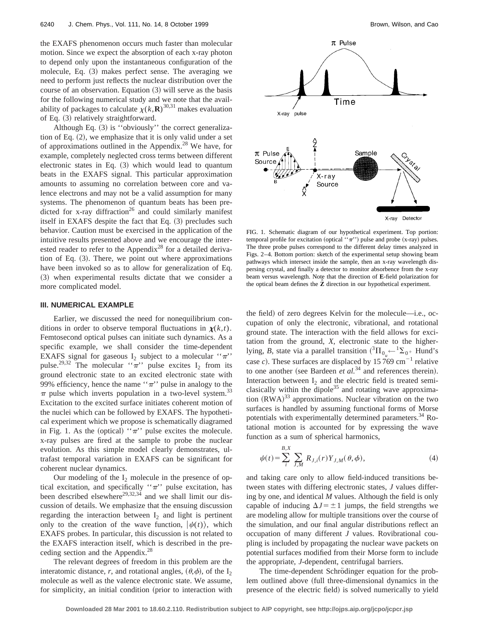the EXAFS phenomenon occurs much faster than molecular motion. Since we expect the absorption of each x-ray photon to depend only upon the instantaneous configuration of the molecule, Eq.  $(3)$  makes perfect sense. The averaging we need to perform just reflects the nuclear distribution over the course of an observation. Equation  $(3)$  will serve as the basis for the following numerical study and we note that the availability of packages to calculate  $\chi(k,\mathbf{R})^{30,31}$  makes evaluation of Eq. (3) relatively straightforward.

Although Eq.  $(3)$  is "obviously" the correct generalization of Eq.  $(2)$ , we emphasize that it is only valid under a set of approximations outlined in the Appendix.28 We have, for example, completely neglected cross terms between different electronic states in Eq.  $(3)$  which would lead to quantum beats in the EXAFS signal. This particular approximation amounts to assuming no correlation between core and valence electrons and may not be a valid assumption for many systems. The phenomenon of quantum beats has been predicted for x-ray diffraction<sup>26</sup> and could similarly manifest itself in EXAFS despite the fact that Eq.  $(3)$  precludes such behavior. Caution must be exercised in the application of the intuitive results presented above and we encourage the interested reader to refer to the Appendix<sup>28</sup> for a detailed derivation of Eq.  $(3)$ . There, we point out where approximations have been invoked so as to allow for generalization of Eq. ~3! when experimental results dictate that we consider a more complicated model.

#### **III. NUMERICAL EXAMPLE**

Earlier, we discussed the need for nonequilibrium conditions in order to observe temporal fluctuations in  $\chi(k,t)$ . Femtosecond optical pulses can initiate such dynamics. As a specific example, we shall consider the time-dependent EXAFS signal for gaseous  $I_2$  subject to a molecular " $\pi$ " pulse.<sup>29,32</sup> The molecular " $\pi$ " pulse excites I<sub>2</sub> from its ground electronic state to an excited electronic state with 99% efficiency, hence the name " $\pi$ " pulse in analogy to the  $\pi$  pulse which inverts population in a two-level system.<sup>33</sup> Excitation to the excited surface initiates coherent motion of the nuclei which can be followed by EXAFS. The hypothetical experiment which we propose is schematically diagramed in Fig. 1. As the (optical) " $\pi$ " pulse excites the molecule. x-ray pulses are fired at the sample to probe the nuclear evolution. As this simple model clearly demonstrates, ultrafast temporal variation in EXAFS can be significant for coherent nuclear dynamics.

Our modeling of the  $I_2$  molecule in the presence of optical excitation, and specifically " $\pi$ " pulse excitation, has been described elsewhere<sup>29,32,34</sup> and we shall limit our discussion of details. We emphasize that the ensuing discussion regarding the interaction between  $I_2$  and light is pertinent only to the creation of the wave function,  $|\psi(t)\rangle$ , which EXAFS probes. In particular, this discussion is not related to the EXAFS interaction itself, which is described in the preceding section and the Appendix.<sup>28</sup>

The relevant degrees of freedom in this problem are the interatomic distance, *r*, and rotational angles,  $(\theta, \phi)$ , of the I<sub>2</sub> molecule as well as the valence electronic state. We assume, for simplicity, an initial condition (prior to interaction with



FIG. 1. Schematic diagram of our hypothetical experiment. Top portion: temporal profile for excitation (optical  $``\pi"$ ) pulse and probe (x-ray) pulses. The three probe pulses correspond to the different delay times analyzed in Figs. 2–4. Bottom portion: sketch of the experimental setup showing beam pathways which intersect inside the sample, then an x-ray wavelength dispersing crystal, and finally a detector to monitor absorbence from the x-ray beam versus wavelength. Note that the direction of **E**-field polarization for the optical beam defines the **Zˆ** direction in our hypothetical experiment.

the field) of zero degrees Kelvin for the molecule—i.e., occupation of only the electronic, vibrational, and rotational ground state. The interaction with the field allows for excitation from the ground, *X*, electronic state to the higherlying, *B*, state via a parallel transition  $({}^{3}H_{0_{\mu}} \leftarrow {}^{1}\Sigma_{0} + Hund's)$ case *c*). These surfaces are displaced by  $15769 \text{ cm}^{-1}$  relative to one another (see Bardeen  $et$   $al.^{34}$  and references therein). Interaction between  $I_2$  and the electric field is treated semiclasically within the dipole<sup>35</sup> and rotating wave approximation  $(RWA)^{33}$  approximations. Nuclear vibration on the two surfaces is handled by assuming functional forms of Morse potentials with experimentally determined parameters.34 Rotational motion is accounted for by expressing the wave function as a sum of spherical harmonics,

$$
\psi(t) = \sum_{i}^{B,X} \sum_{J,M} R_{J,i}(r) Y_{J,M}(\theta, \phi), \tag{4}
$$

and taking care only to allow field-induced transitions between states with differing electronic states, *J* values differing by one, and identical *M* values. Although the field is only capable of inducing  $\Delta J = \pm 1$  jumps, the field strengths we are modeling allow for multiple transitions over the course of the simulation, and our final angular distributions reflect an occupation of many different *J* values. Rovibrational coupling is included by propagating the nuclear wave packets on potential surfaces modified from their Morse form to include the appropriate, *J*-dependent, centrifugal barriers.

The time-dependent Schrödinger equation for the problem outlined above (full three-dimensional dynamics in the presence of the electric field) is solved numerically to yield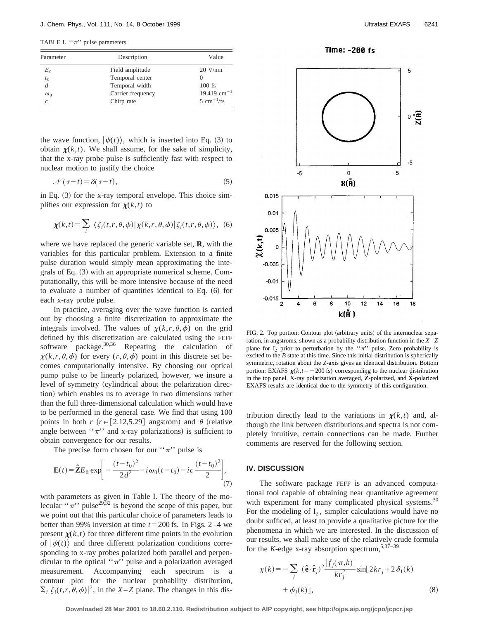TABLE I. " $\pi$ " pulse parameters.

| Parameter      | Description       | Value                         |
|----------------|-------------------|-------------------------------|
| $E_0$          | Field amplitude   | $20$ V/nm                     |
| $t_{0}$        | Temporal center   |                               |
| $\overline{d}$ | Temporal width    | $100$ fs                      |
| $\omega_0$     | Carrier frequency | $19\,419\ \mathrm{cm}^{-1}$   |
| Ċ              | Chirp rate        | $5 \text{ cm}^{-1}/\text{fs}$ |

the wave function,  $|\psi(t)\rangle$ , which is inserted into Eq. (3) to obtain  $\chi(k,t)$ . We shall assume, for the sake of simplicity, that the x-ray probe pulse is sufficiently fast with respect to nuclear motion to justify the choice

$$
\mathcal{N}(\tau - t) = \delta(\tau - t),\tag{5}
$$

in Eq.  $(3)$  for the x-ray temporal envelope. This choice simplifies our expression for  $\chi(k,t)$  to

$$
\chi(k,t) = \sum_{i} \langle \zeta_i(t,r,\theta,\phi) | \chi(k,r,\theta,\phi) | \zeta_i(t,r,\theta,\phi) \rangle, \tag{6}
$$

where we have replaced the generic variable set, **R**, with the variables for this particular problem. Extension to a finite pulse duration would simply mean approximating the integrals of Eq.  $(3)$  with an appropriate numerical scheme. Computationally, this will be more intensive because of the need to evaluate a number of quantities identical to Eq.  $(6)$  for each x-ray probe pulse.

In practice, averaging over the wave function is carried out by choosing a finite discretization to approximate the integrals involved. The values of  $\chi(k,r,\theta,\phi)$  on the grid defined by this discretization are calculated using the FEFF software package.  $30,36$  Repeating the calculation of  $\chi(k,r,\theta,\phi)$  for every  $(r,\theta,\phi)$  point in this discrete set becomes computationally intensive. By choosing our optical pump pulse to be linearly polarized, however, we insure a level of symmetry (cylindrical about the polarization direction) which enables us to average in two dimensions rather than the full three-dimensional calculation which would have to be performed in the general case. We find that using 100 points in both  $r$  ( $r \in [2.12, 5.29]$  angstrom) and  $\theta$  (relative angle between " $\pi$ " and x-ray polarizations) is sufficient to obtain convergence for our results.

The precise form chosen for our " $\pi$ " pulse is

$$
\mathbf{E}(t) = \hat{\mathbf{Z}}E_0 \exp\bigg[-\frac{(t-t_0)^2}{2d^2} - i\,\omega_0(t-t_0) - ic\,\frac{(t-t_0)^2}{2}\bigg],\tag{7}
$$

with parameters as given in Table I. The theory of the molecular " $\pi$ " pulse<sup>29,32</sup> is beyond the scope of this paper, but we point out that this particular choice of parameters leads to better than 99% inversion at time  $t = 200$  fs. In Figs. 2–4 we present  $\chi(k,t)$  for three different time points in the evolution of  $|\psi(t)\rangle$  and three different polarization conditions corresponding to x-ray probes polarized both parallel and perpendicular to the optical " $\pi$ " pulse and a polarization averaged measurement. Accompanying each spectrum is a contour plot for the nuclear probability distribution,  $\sum_{i} |\zeta_i(t, r, \theta, \phi)|^2$ , in the *X*–*Z* plane. The changes in this dis-





FIG. 2. Top portion: Contour plot (arbitrary units) of the internuclear separation, in angstroms, shown as a probability distribution function in the *X*– *Z* plane for  $I_2$  prior to perturbation by the " $\pi$ " pulse. Zero probability is excited to the *B* state at this time. Since this initial distribution is spherically symmetric, rotation about the *Z*-axis gives an identical distribution. Bottom portion: EXAFS  $\chi(k,t=-200 \text{ fs})$  corresponding to the nuclear distribution in the top panel. X-ray polarization averaged, **Zˆ** -polarized, and **Xˆ** -polarized EXAFS results are identical due to the symmetry of this configuration.

tribution directly lead to the variations in  $\chi(k,t)$  and, although the link between distributions and spectra is not completely intuitive, certain connections can be made. Further comments are reserved for the following section.

#### **IV. DISCUSSION**

The software package FEFF is an advanced computational tool capable of obtaining near quantitative agreement with experiment for many complicated physical systems.<sup>30</sup> For the modeling of  $I_2$ , simpler calculations would have no doubt sufficed, at least to provide a qualitative picture for the phenomena in which we are interested. In the discussion of our results, we shall make use of the relatively crude formula for the *K*-edge x-ray absorption spectrum,  $5,37-39$ 

$$
\chi(k) = -\sum_{j} (\hat{\mathbf{e}} \cdot \hat{\mathbf{r}}_{j})^{2} \frac{|f_{j}(\pi, k)|}{kr_{j}^{2}} \sin[2kr_{j} + 2\delta_{1}(k) + \phi_{j}(k)], \qquad (8)
$$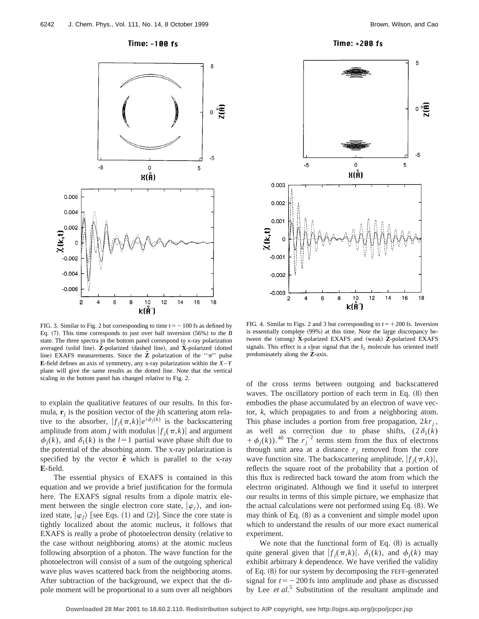

Time: +200 fs



FIG. 3. Similar to Fig. 2 but corresponding to time  $t=-100$  fs as defined by Eq.  $(7)$ . This time corresponds to just over half inversion  $(56%)$  to the *B* state. The three spectra in the bottom panel correspond to x-ray polarization averaged (solid line). **Z**-polarized (dashed line), and **X**-polarized (dotted line) EXAFS measurements. Since the **Z** polarization of the " $\pi$ " pulse **E**-field defines an axis of symmetry, any x-ray polarization within the  $X - Y$ plane will give the same results as the dotted line. Note that the vertical scaling in the bottom panel has changed relative to Fig. 2.

to explain the qualitative features of our results. In this formula, **r***<sup>j</sup>* is the position vector of the *j*th scattering atom relative to the absorber,  $|f_j(\pi, k)|e^{i\phi_j(k)}$  is the backscattering amplitude from atom *j* with modulus  $|f_i(\pi, k)|$  and argument  $\phi_i(k)$ , and  $\delta_1(k)$  is the  $l=1$  partial wave phase shift due to the potential of the absorbing atom. The x-ray polarization is specified by the vector  $\hat{e}$  which is parallel to the x-ray **E**-field.

The essential physics of EXAFS is contained in this equation and we provide a brief justification for the formula here. The EXAFS signal results from a dipole matrix element between the single electron core state,  $|\varphi_c\rangle$ , and ionized state,  $|\varphi_f\rangle$  [see Eqs. (1) and (2)]. Since the core state is tightly localized about the atomic nucleus, it follows that EXAFS is really a probe of photoelectron density (relative to the case without neighboring atoms) at the atomic nucleus following absorption of a photon. The wave function for the photoelectron will consist of a sum of the outgoing spherical wave plus waves scattered back from the neighboring atoms. After subtraction of the background, we expect that the dipole moment will be proportional to a sum over all neighbors

FIG. 4. Similar to Figs. 2 and 3 but corresponding to  $t = +200$  fs. Inversion is essentially complete (99%) at this time. Note the large discrepancy between the (strong) X-polarized EXAFS and (weak) Z-polarized EXAFS signals. This effect is a clear signal that the  $I_2$  molecule has oriented itself predominately along the Z-axis.

of the cross terms between outgoing and backscattered waves. The oscillatory portion of each term in Eq.  $(8)$  then embodies the phase accumulated by an electron of wave vector, *k*, which propagates to and from a neighboring atom. This phase includes a portion from free propagation,  $2kr_j$ , as well as correction due to phase shifts,  $(2\delta_1(k))$  $+\phi_j(k)$ .<sup>40</sup> The  $r_j^{-2}$  terms stem from the flux of electrons through unit area at a distance  $r_j$  removed from the core wave function site. The backscattering amplitude,  $|f_i(\pi, k)|$ , reflects the square root of the probability that a portion of this flux is redirected back toward the atom from which the electron originated. Although we find it useful to interpret our results in terms of this simple picture, we emphasize that the actual calculations were not performed using Eq.  $(8)$ . We may think of Eq.  $(8)$  as a convenient and simple model upon which to understand the results of our more exact numerical experiment.

We note that the functional form of Eq.  $(8)$  is actually quite general given that  $|f_i(\pi, k)|$ .  $\delta_1(k)$ , and  $\phi_i(k)$  may exhibit arbitrary *k* dependence. We have verified the validity of Eq.  $(8)$  for our system by decomposing the FEFF-generated signal for  $t = -200$  fs into amplitude and phase as discussed by Lee *et al.*<sup>5</sup> Substitution of the resultant amplitude and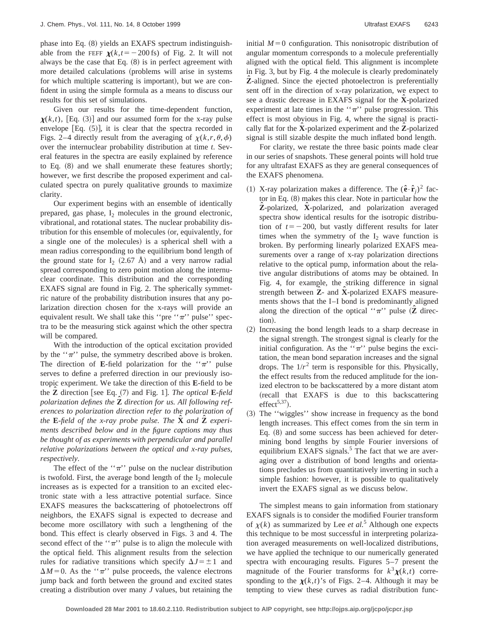phase into Eq. (8) yields an EXAFS spectrum indistinguishable from the FEFF  $\chi(k,t=-200 \text{ fs})$  of Fig. 2. It will not always be the case that Eq.  $(8)$  is in perfect agreement with more detailed calculations (problems will arise in systems for which multiple scattering is important), but we are confident in using the simple formula as a means to discuss our results for this set of simulations.

Given our results for the time-dependent function,  $\chi(k,t)$ , [Eq. (3)] and our assumed form for the x-ray pulse envelope  $[Eq. (5)]$ , it is clear that the spectra recorded in Figs. 2–4 directly result from the averaging of  $\chi(k,r,\theta,\phi)$ over the internuclear probability distribution at time *t*. Several features in the spectra are easily explained by reference to Eq.  $(8)$  and we shall enumerate these features shortly; however, we first describe the proposed experiment and calculated spectra on purely qualitative grounds to maximize clarity.

Our experiment begins with an ensemble of identically prepared, gas phase,  $I_2$  molecules in the ground electronic, vibrational, and rotational states. The nuclear probability distribution for this ensemble of molecules (or, equivalently, for a single one of the molecules) is a spherical shell with a mean radius corresponding to the equilibrium bond length of the ground state for  $I_2$  (2.67 Å) and a very narrow radial spread corresponding to zero point motion along the internuclear coordinate. This distribution and the corresponding EXAFS signal are found in Fig. 2. The spherically symmetric nature of the probability distribution insures that any polarization direction chosen for the x-rays will provide an equivalent result. We shall take this "pre " $\pi$ " pulse" spectra to be the measuring stick against which the other spectra will be compared.

With the introduction of the optical excitation provided by the  $\cdot \cdot \pi$  pulse, the symmetry described above is broken. The direction of **E**-field polarization for the " $\pi$ " pulse serves to define a preferred direction in our previously isotropic experiment. We take the direction of this **E**-field to be the **Z** direction [see Eq. (7) and Fig. 1]. *The optical* **E**-field *polarization defines the* **Zˆ** *direction for us. All following references to polarization direction refer to the polarization of the* **E**-*field of the x-ray probe pulse. The* **Xˆ** *and* **Zˆ** *experiments described below and in the figure captions may thus be thought of as experiments with perpendicular and parallel relative polarizations between the optical and x-ray pulses, respectively*.

The effect of the " $\pi$ " pulse on the nuclear distribution is twofold. First, the average bond length of the  $I_2$  molecule increases as is expected for a transition to an excited electronic state with a less attractive potential surface. Since EXAFS measures the backscattering of photoelectrons off neighbors, the EXAFS signal is expected to decrease and become more oscillatory with such a lengthening of the bond. This effect is clearly observed in Figs. 3 and 4. The second effect of the " $\pi$ " pulse is to align the molecule with the optical field. This alignment results from the selection rules for radiative transitions which specify  $\Delta J = \pm 1$  and  $\Delta M$ =0. As the " $\pi$ " pulse proceeds, the valence electrons jump back and forth between the ground and excited states creating a distribution over many *J* values, but retaining the initial  $M=0$  configuration. This nonisotropic distribution of angular momentum corresponds to a molecule preferentially aligned with the optical field. This alignment is incomplete in Fig. 3, but by Fig. 4 the molecule is clearly predominately **Zˆ** -aligned. Since the ejected photoelectron is preferentially sent off in the direction of x-ray polarization, we expect to see a drastic decrease in EXAFS signal for the **X**-polarized experiment at late times in the " $\pi$ " pulse progression. This effect is most obvious in Fig. 4, where the signal is practically flat for the **Xˆ** -polarized experiment and the **Zˆ** -polarized signal is still sizable despite the much inflated bond length.

For clarity, we restate the three basic points made clear in our series of snapshots. These general points will hold true for any ultrafast EXAFS as they are general consequences of the EXAFS phenomena.

- (1) X-ray polarization makes a difference. The  $(\hat{\mathbf{e}} \cdot \hat{\mathbf{r}}_i)^2$  factor in Eq.  $(8)$  makes this clear. Note in particular how the **Zˆ** -polarized, **Xˆ** -polarized, and polarization averaged spectra show identical results for the isotropic distribution of  $t=-200$ , but vastly different results for later times when the symmetry of the  $I_2$  wave function is broken. By performing linearly polarized EXAFS measurements over a range of x-ray polarization directions relative to the optical pump, information about the relative angular distributions of atoms may be obtained. In Fig. 4, for example, the striking difference in signal strength between **Z**- and **X**-polarized EXAFS measurements shows that the I–I bond is predominantly aligned along the direction of the optical " $\pi$ " pulse (**Z** direction).
- ~2! Increasing the bond length leads to a sharp decrease in the signal strength. The strongest signal is clearly for the initial configuration. As the " $\pi$ " pulse begins the excitation, the mean bond separation increases and the signal drops. The  $1/r^2$  term is responsible for this. Physically, the effect results from the reduced amplitude for the ionized electron to be backscattered by a more distant atom (recall that EXAFS is due to this backscattering effect<sup>5,37</sup>).
- ~3! The ''wiggles'' show increase in frequency as the bond length increases. This effect comes from the sin term in Eq.  $(8)$  and some success has been achieved for determining bond lengths by simple Fourier inversions of equilibrium EXAFS signals.<sup>5</sup> The fact that we are averaging over a distribution of bond lengths and orientations precludes us from quantitatively inverting in such a simple fashion: however, it is possible to qualitatively invert the EXAFS signal as we discuss below.

The simplest means to gain information from stationary EXAFS signals is to consider the modified Fourier transform of  $\chi(k)$  as summarized by Lee *et al.*<sup>5</sup> Although one expects this technique to be most successful in interpreting polarization averaged measurements on well-localized distributions, we have applied the technique to our numerically generated spectra with encouraging results. Figures 5–7 present the magnitude of the Fourier transforms for  $k^3 \chi(k,t)$  corresponding to the  $\chi(k,t)$ 's of Figs. 2–4. Although it may be tempting to view these curves as radial distribution func-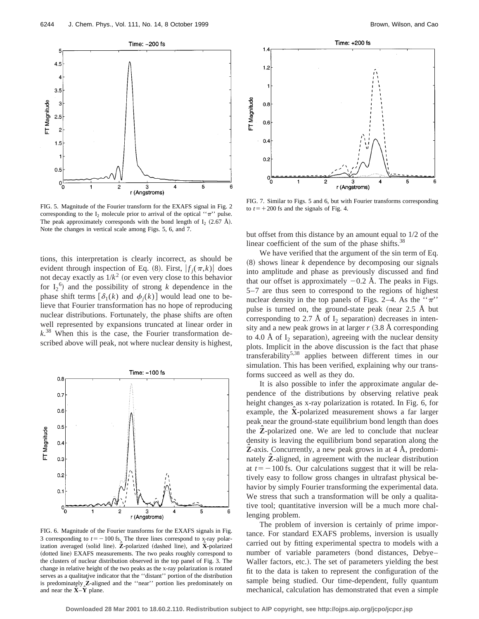Time: -200 fs  $4.5$ 4  $3.5$ 3 -T Magnitude  $2.5$  $\overline{c}$ 1.5  $0.5$  $0<sub>0</sub>$  $\overline{c}$ 3 4 5 6 r (Angstroms)

FIG. 5. Magnitude of the Fourier transform for the EXAFS signal in Fig. 2 corresponding to the  $I_2$  molecule prior to arrival of the optical " $\pi$ " pulse. The peak approximately corresponds with the bond length of  $I_2$  (2.67 Å). Note the changes in vertical scale among Figs. 5, 6, and 7.

tions, this interpretation is clearly incorrect, as should be evident through inspection of Eq. (8). First,  $|f_i(\pi, k)|$  does not decay exactly as  $1/k^2$  (or even very close to this behavior for  $I_2^{\{6\}}$  and the possibility of strong *k* dependence in the phase shift terms  $\left[\delta_1(k)\right]$  and  $\phi_i(k)$  would lead one to believe that Fourier transformation has no hope of reproducing nuclear distributions. Fortunately, the phase shifts are often well represented by expansions truncated at linear order in *k*. <sup>38</sup> When this is the case, the Fourier transformation described above will peak, not where nuclear density is highest,



FIG. 6. Magnitude of the Fourier transforms for the EXAFS signals in Fig. 3 corresponding to  $t=-100$  fs. The three lines correspond to x-ray polarization averaged (solid line). Z-polarized (dashed line), and X-polarized (dotted line) EXAFS measurements. The two peaks roughly correspond to the clusters of nuclear distribution observed in the top panel of Fig. 3. The change in relative height of the two peaks as the x-ray polarization is rotated serves as a qualitative indicator that the ''distant'' portion of the distribution is predominately **Z**-aligned and the "near" portion lies predominately on and near the **Xˆ** –**Yˆ** plane.



FIG. 7. Similar to Figs. 5 and 6, but with Fourier transforms corresponding to  $t$ = + 200 fs and the signals of Fig. 4.

but offset from this distance by an amount equal to 1/2 of the linear coefficient of the sum of the phase shifts. $38$ 

We have verified that the argument of the sin term of Eq.  $(8)$  shows linear *k* dependence by decomposing our signals into amplitude and phase as previously discussed and find that our offset is approximately  $-0.2$  Å. The peaks in Figs. 5–7 are thus seen to correspond to the regions of highest nuclear density in the top panels of Figs. 2–4. As the  $\cdot \pi$ . pulse is turned on, the ground-state peak (near  $2.5$  Å but corresponding to 2.7 Å of  $I_2$  separation) decreases in intensity and a new peak grows in at larger  $r$   $(3.8 \text{ Å corresponding})$ to 4.0 Å of  $I_2$  separation), agreeing with the nuclear density plots. Implicit in the above discussion is the fact that phase transferability5,38 applies between different times in our simulation. This has been verified, explaining why our transforms succeed as well as they do.

It is also possible to infer the approximate angular dependence of the distributions by observing relative peak height changes as x-ray polarization is rotated. In Fig. 6, for example, the **X**-polarized measurement shows a far larger peak near the ground-state equilibrium bond length than does the **Zˆ** -polarized one. We are led to conclude that nuclear density is leaving the equilibrium bond separation along the **Z**-axis. Concurrently, a new peak grows in at 4 Å, predominately **Z**-aligned, in agreement with the nuclear distribution at  $t=-100$  fs. Our calculations suggest that it will be relatively easy to follow gross changes in ultrafast physical behavior by simply Fourier transforming the experimental data. We stress that such a transformation will be only a qualitative tool; quantitative inversion will be a much more challenging problem.

The problem of inversion is certainly of prime importance. For standard EXAFS problems, inversion is usually carried out by fitting experimental spectra to models with a number of variable parameters (bond distances, Debye– Waller factors, etc.). The set of parameters yielding the best fit to the data is taken to represent the configuration of the sample being studied. Our time-dependent, fully quantum mechanical, calculation has demonstrated that even a simple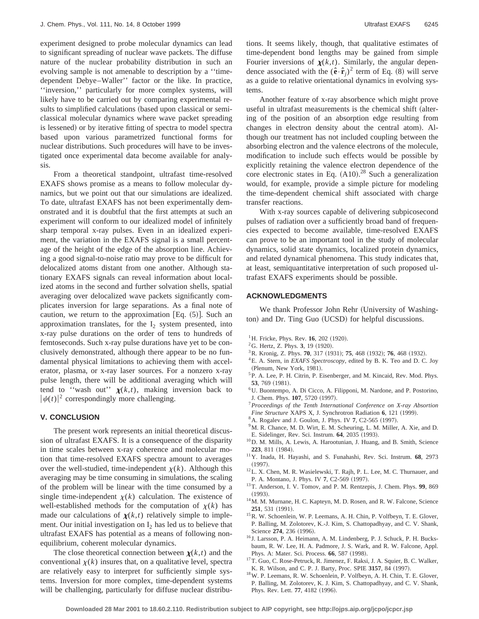experiment designed to probe molecular dynamics can lead to significant spreading of nuclear wave packets. The diffuse nature of the nuclear probability distribution in such an evolving sample is not amenable to description by a ''timedependent Debye–Waller'' factor or the like. In practice, ''inversion,'' particularly for more complex systems, will likely have to be carried out by comparing experimental results to simplified calculations (based upon classical or semiclassical molecular dynamics where wave packet spreading is lessened) or by iterative fitting of spectra to model spectra based upon various parametrized functional forms for nuclear distributions. Such procedures will have to be investigated once experimental data become available for analysis.

From a theoretical standpoint, ultrafast time-resolved EXAFS shows promise as a means to follow molecular dynamics, but we point out that our simulations are idealized. To date, ultrafast EXAFS has not been experimentally demonstrated and it is doubtful that the first attempts at such an experiment will conform to our idealized model of infinitely sharp temporal x-ray pulses. Even in an idealized experiment, the variation in the EXAFS signal is a small percentage of the height of the edge of the absorption line. Achieving a good signal-to-noise ratio may prove to be difficult for delocalized atoms distant from one another. Although stationary EXAFS signals can reveal information about localized atoms in the second and further solvation shells, spatial averaging over delocalized wave packets significantly complicates inversion for large separations. As a final note of caution, we return to the approximation [Eq.  $(5)$ ]. Such an approximation translates, for the  $I_2$  system presented, into x-ray pulse durations on the order of tens to hundreds of femtoseconds. Such x-ray pulse durations have yet to be conclusively demonstrated, although there appear to be no fundamental physical limitations to achieving them with accelerator, plasma, or x-ray laser sources. For a nonzero x-ray pulse length, there will be additional averaging which will tend to "wash out"  $\chi(k,t)$ , making inversion back to  $|\psi(t)|^2$  correspondingly more challenging.

## **V. CONCLUSION**

The present work represents an initial theoretical discussion of ultrafast EXAFS. It is a consequence of the disparity in time scales between x-ray coherence and molecular motion that time-resolved EXAFS spectra amount to averages over the well-studied, time-independent  $\chi(k)$ . Although this averaging may be time consuming in simulations, the scaling of the problem will be linear with the time consumed by a single time-independent  $\chi(k)$  calculation. The existence of well-established methods for the computation of  $\chi(k)$  has made our calculations of  $\chi(k,t)$  relatively simple to implement. Our initial investigation on  $I_2$  has led us to believe that ultrafast EXAFS has potential as a means of following nonequilibrium, coherent molecular dynamics.

The close theoretical connection between  $\chi(k,t)$  and the conventional  $\chi(k)$  insures that, on a qualitative level, spectra are relatively easy to interpret for sufficiently simple systems. Inversion for more complex, time-dependent systems will be challenging, particularly for diffuse nuclear distributions. It seems likely, though, that qualitative estimates of time-dependent bond lengths may be gained from simple Fourier inversions of  $\chi(k,t)$ . Similarly, the angular dependence associated with the  $(\hat{\mathbf{e}} \cdot \hat{\mathbf{r}}_i)^2$  term of Eq. (8) will serve as a guide to relative orientational dynamics in evolving systems.

Another feature of x-ray absorbence which might prove useful in ultrafast measurements is the chemical shift (altering of the position of an absorption edge resulting from changes in electron density about the central atom). Although our treatment has not included coupling between the absorbing electron and the valence electrons of the molecule, modification to include such effects would be possible by explicitly retaining the valence electron dependence of the core electronic states in Eq.  $(A10).^{28}$  Such a generalization would, for example, provide a simple picture for modeling the time-dependent chemical shift associated with charge transfer reactions.

With x-ray sources capable of delivering subpicosecond pulses of radiation over a sufficiently broad band of frequencies expected to become available, time-resolved EXAFS can prove to be an important tool in the study of molecular dynamics, solid state dynamics, localized protein dynamics, and related dynamical phenomena. This study indicates that, at least, semiquantitative interpretation of such proposed ultrafast EXAFS experiments should be possible.

## **ACKNOWLEDGMENTS**

We thank Professor John Rehr (University of Washington) and Dr. Ting Guo (UCSD) for helpful discussions.

- $1$ <sup>1</sup>H. Fricke, Phys. Rev. **16**, 202 (1920).
- $2^2$ G. Hertz, Z. Phys. 3, 19 (1920).
- <sup>3</sup> R. Kronig, Z. Phys. **70**, 317 (1931); **75**, 468 (1932); **76**, 468 (1932).
- 4E. A. Stern, in *EXAFS Spectroscopy*, edited by B. K. Teo and D. C. Joy (Plenum, New York, 1981).
- <sup>5</sup>P. A. Lee, P. H. Citrin, P. Eisenberger, and M. Kincaid, Rev. Mod. Phys. **53**, 769 (1981).
- 6U. Buontempo, A. Di Cicco, A. Filipponi, M. Nardone, and P. Postorino, J. Chem. Phys. **107**, 5720 (1997).
- <sup>7</sup>*Proceedings of the Tenth International Conference on X-ray Absortion Fine Structure XAPS X, J. Synchrotron Radiation 6, 121 (1999).*
- <sup>8</sup> A. Rogalev and J. Goulon, J. Phys. IV 7, C2-565 (1997).
- <sup>9</sup>M. R. Chance, M. D. Wirt, E. M. Scheuring, L. M. Miller, A. Xie, and D. E. Sidelinger, Rev. Sci. Instrum. 64, 2035 (1993).
- 10D. M. Mills, A. Lewis, A. Harootunian, J. Huang, and B. Smith, Science **223**, 811 (1984).
- 11Y. Inada, H. Hayashi, and S. Funahashi, Rev. Sci. Instrum. **68**, 2973  $(1997).$
- 12L. X. Chen, M. R. Wasielewski, T. Rajh, P. L. Lee, M. C. Thurnauer, and P. A. Montano, J. Phys. IV 7, C2-569 (1997).
- 13T. Anderson, I. V. Tomov, and P. M. Rentzepis, J. Chem. Phys. **99**, 869  $(1993).$
- <sup>14</sup>M. M. Murnane, H. C. Kapteyn, M. D. Rosen, and R. W. Falcone, Science **251**, 531 (1991).
- 15R. W. Schoenlein, W. P. Leemans, A. H. Chin, P. Volfbeyn, T. E. Glover, P. Balling, M. Zolotorev, K.-J. Kim, S. Chattopadhyay, and C. V. Shank, Science 274, 236 (1996).
- <sup>16</sup> J. Larsson, P. A. Heimann, A. M. Lindenberg, P. J. Schuck, P. H. Bucksbaum, R. W. Lee, H. A. Padmore, J. S. Wark, and R. W. Falcone, Appl. Phys. A: Mater. Sci. Process. 66, 587 (1998).
- <sup>17</sup>T. Guo, C. Rose-Petruck, R. Jimenez, F. Raksi, J. A. Squier, B. C. Walker, K. R. Wilson, and C. P. J. Barty, Proc. SPIE 3157, 84 (1997).
- 18W. P. Leemans, R. W. Schoenlein, P. Volfbeyn, A. H. Chin, T. E. Glover, P. Balling, M. Zolotorev, K. J. Kim, S. Chattopadhyay, and C. V. Shank, Phys. Rev. Lett. **77**, 4182 (1996).